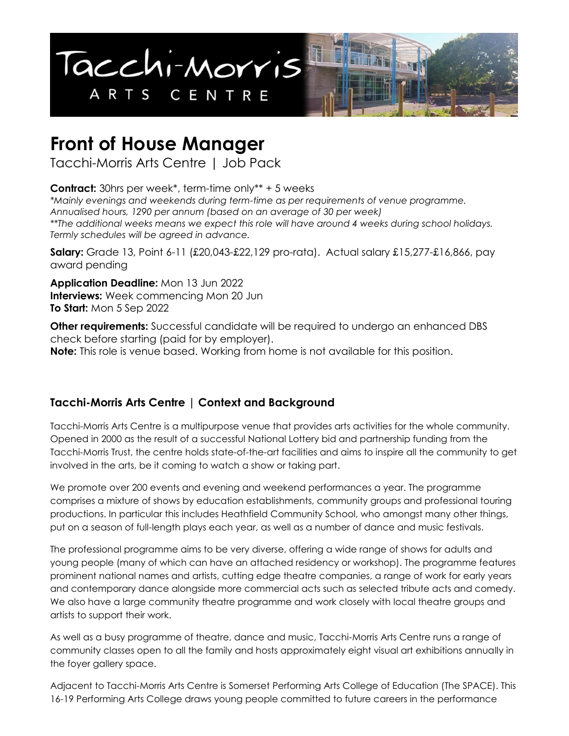

# **Front of House Manager**

Tacchi-Morris Arts Centre | Job Pack

**Contract:** 30hrs per week\*, term-time only\*\* + 5 weeks *\*Mainly evenings and weekends during term-time as per requirements of venue programme. Annualised hours, 1290 per annum (based on an average of 30 per week) \*\*The additional weeks means we expect this role will have around 4 weeks during school holidays. Termly schedules will be agreed in advance.*

**Salary:** Grade 13, Point 6-11 (£20,043-£22,129 pro-rata). Actual salary £15,277-£16,866, pay award pending

**Application Deadline:** Mon 13 Jun 2022 **Interviews:** Week commencing Mon 20 Jun **To Start:** Mon 5 Sep 2022

**Other requirements:** Successful candidate will be required to undergo an enhanced DBS check before starting (paid for by employer). **Note:** This role is venue based. Working from home is not available for this position.

# **Tacchi-Morris Arts Centre | Context and Background**

Tacchi-Morris Arts Centre is a multipurpose venue that provides arts activities for the whole community. Opened in 2000 as the result of a successful National Lottery bid and partnership funding from the Tacchi-Morris Trust, the centre holds state-of-the-art facilities and aims to inspire all the community to get involved in the arts, be it coming to watch a show or taking part.

We promote over 200 events and evening and weekend performances a year. The programme comprises a mixture of shows by education establishments, community groups and professional touring productions. In particular this includes Heathfield Community School, who amongst many other things, put on a season of full-length plays each year, as well as a number of dance and music festivals.

The professional programme aims to be very diverse, offering a wide range of shows for adults and young people (many of which can have an attached residency or workshop). The programme features prominent national names and artists, cutting edge theatre companies, a range of work for early years and contemporary dance alongside more commercial acts such as selected tribute acts and comedy. We also have a large community theatre programme and work closely with local theatre groups and artists to support their work.

As well as a busy programme of theatre, dance and music, Tacchi-Morris Arts Centre runs a range of community classes open to all the family and hosts approximately eight visual art exhibitions annually in the foyer gallery space.

Adjacent to Tacchi-Morris Arts Centre is Somerset Performing Arts College of Education (The SPACE). This 16-19 Performing Arts College draws young people committed to future careers in the performance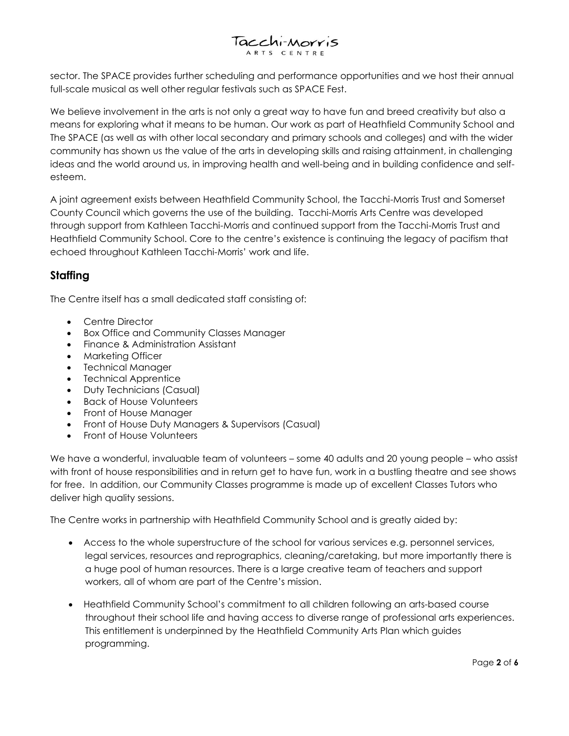# Tacchi-Morris

sector. The SPACE provides further scheduling and performance opportunities and we host their annual full-scale musical as well other regular festivals such as SPACE Fest.

We believe involvement in the arts is not only a great way to have fun and breed creativity but also a means for exploring what it means to be human. Our work as part of Heathfield Community School and The SPACE (as well as with other local secondary and primary schools and colleges) and with the wider community has shown us the value of the arts in developing skills and raising attainment, in challenging ideas and the world around us, in improving health and well-being and in building confidence and selfesteem.

A joint agreement exists between Heathfield Community School, the Tacchi-Morris Trust and Somerset County Council which governs the use of the building. Tacchi-Morris Arts Centre was developed through support from Kathleen Tacchi-Morris and continued support from the Tacchi-Morris Trust and Heathfield Community School. Core to the centre's existence is continuing the legacy of pacifism that echoed throughout Kathleen Tacchi-Morris' work and life.

## **Staffing**

The Centre itself has a small dedicated staff consisting of:

- Centre Director
- Box Office and Community Classes Manager
- Finance & Administration Assistant
- Marketing Officer
- Technical Manager
- Technical Apprentice
- Duty Technicians (Casual)
- Back of House Volunteers
- Front of House Manager
- Front of House Duty Managers & Supervisors (Casual)
- Front of House Volunteers

We have a wonderful, invaluable team of volunteers – some 40 adults and 20 young people – who assist with front of house responsibilities and in return get to have fun, work in a bustling theatre and see shows for free. In addition, our Community Classes programme is made up of excellent Classes Tutors who deliver high quality sessions.

The Centre works in partnership with Heathfield Community School and is greatly aided by:

- Access to the whole superstructure of the school for various services e.g. personnel services, legal services, resources and reprographics, cleaning/caretaking, but more importantly there is a huge pool of human resources. There is a large creative team of teachers and support workers, all of whom are part of the Centre's mission.
- Heathfield Community School's commitment to all children following an arts-based course throughout their school life and having access to diverse range of professional arts experiences. This entitlement is underpinned by the Heathfield Community Arts Plan which guides programming.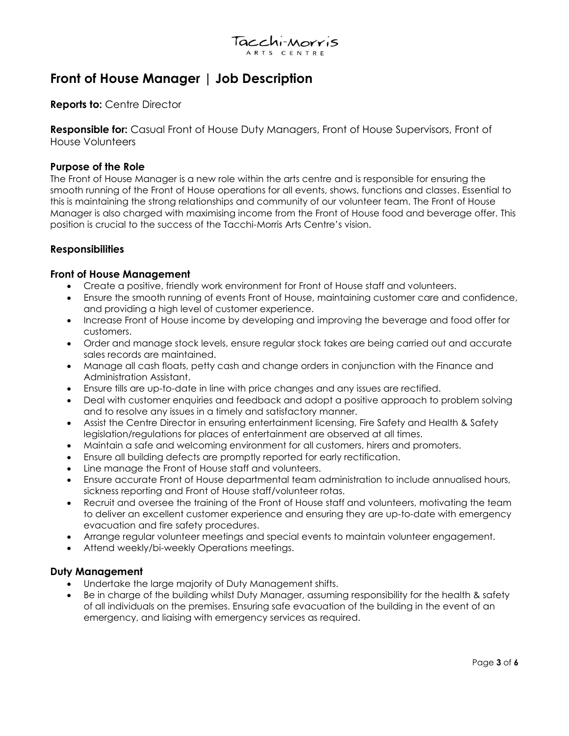

# **Front of House Manager | Job Description**

#### **Reports to:** Centre Director

**Responsible for:** Casual Front of House Duty Managers, Front of House Supervisors, Front of House Volunteers

#### **Purpose of the Role**

The Front of House Manager is a new role within the arts centre and is responsible for ensuring the smooth running of the Front of House operations for all events, shows, functions and classes. Essential to this is maintaining the strong relationships and community of our volunteer team. The Front of House Manager is also charged with maximising income from the Front of House food and beverage offer. This position is crucial to the success of the Tacchi-Morris Arts Centre's vision.

#### **Responsibilities**

#### **Front of House Management**

- Create a positive, friendly work environment for Front of House staff and volunteers.
- Ensure the smooth running of events Front of House, maintaining customer care and confidence, and providing a high level of customer experience.
- Increase Front of House income by developing and improving the beverage and food offer for customers.
- Order and manage stock levels, ensure regular stock takes are being carried out and accurate sales records are maintained.
- Manage all cash floats, petty cash and change orders in conjunction with the Finance and Administration Assistant.
- Ensure tills are up-to-date in line with price changes and any issues are rectified.
- Deal with customer enquiries and feedback and adopt a positive approach to problem solving and to resolve any issues in a timely and satisfactory manner.
- Assist the Centre Director in ensuring entertainment licensing, Fire Safety and Health & Safety legislation/regulations for places of entertainment are observed at all times.
- Maintain a safe and welcoming environment for all customers, hirers and promoters.
- Ensure all building defects are promptly reported for early rectification.
- Line manage the Front of House staff and volunteers.
- Ensure accurate Front of House departmental team administration to include annualised hours, sickness reporting and Front of House staff/volunteer rotas.
- Recruit and oversee the training of the Front of House staff and volunteers, motivating the team to deliver an excellent customer experience and ensuring they are up-to-date with emergency evacuation and fire safety procedures.
- Arrange regular volunteer meetings and special events to maintain volunteer engagement.
- Attend weekly/bi-weekly Operations meetings.

#### **Duty Management**

- Undertake the large majority of Duty Management shifts.
- Be in charge of the building whilst Duty Manager, assuming responsibility for the health & safety of all individuals on the premises. Ensuring safe evacuation of the building in the event of an emergency, and liaising with emergency services as required.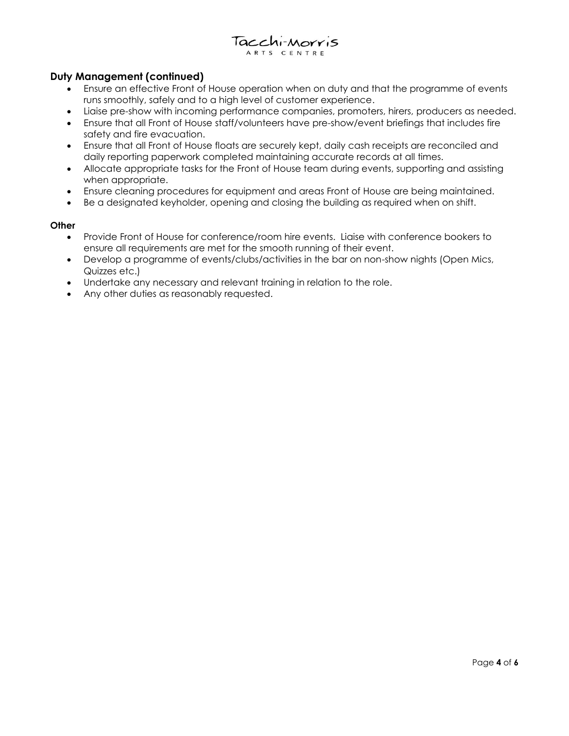#### Tacchi-Morris ARTS CENTRE

#### **Duty Management (continued)**

- Ensure an effective Front of House operation when on duty and that the programme of events runs smoothly, safely and to a high level of customer experience.
- Liaise pre-show with incoming performance companies, promoters, hirers, producers as needed.
- Ensure that all Front of House staff/volunteers have pre-show/event briefings that includes fire safety and fire evacuation.
- Ensure that all Front of House floats are securely kept, daily cash receipts are reconciled and daily reporting paperwork completed maintaining accurate records at all times.
- Allocate appropriate tasks for the Front of House team during events, supporting and assisting when appropriate.
- Ensure cleaning procedures for equipment and areas Front of House are being maintained.
- Be a designated keyholder, opening and closing the building as required when on shift.

#### **Other**

- Provide Front of House for conference/room hire events. Liaise with conference bookers to ensure all requirements are met for the smooth running of their event.
- Develop a programme of events/clubs/activities in the bar on non-show nights (Open Mics, Quizzes etc.)
- Undertake any necessary and relevant training in relation to the role.
- Any other duties as reasonably requested.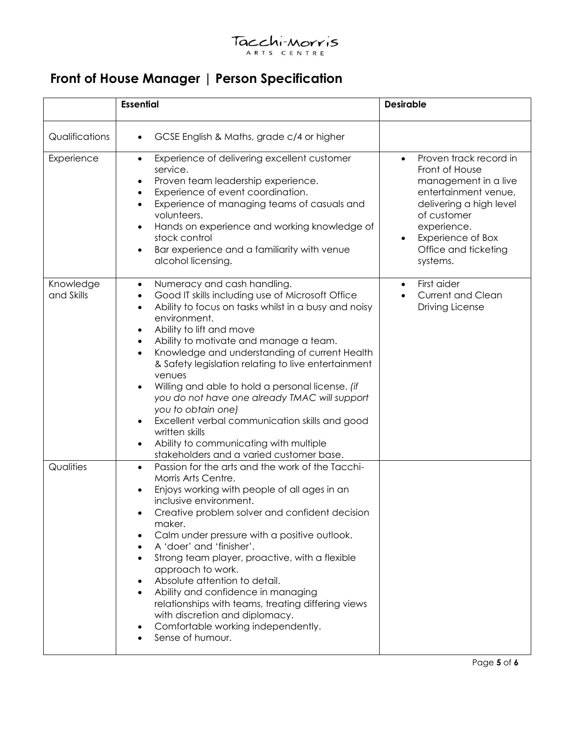### Tacchi-Morris ARTS CENTRE

# **Front of House Manager | Person Specification**

|                         | <b>Essential</b>                                                                                                                                                                                                                                                                                                                                                                                                                                                                                                                                                                                                                                                            | <b>Desirable</b>                                                                                                                                                                                                        |
|-------------------------|-----------------------------------------------------------------------------------------------------------------------------------------------------------------------------------------------------------------------------------------------------------------------------------------------------------------------------------------------------------------------------------------------------------------------------------------------------------------------------------------------------------------------------------------------------------------------------------------------------------------------------------------------------------------------------|-------------------------------------------------------------------------------------------------------------------------------------------------------------------------------------------------------------------------|
| Qualifications          | GCSE English & Maths, grade c/4 or higher                                                                                                                                                                                                                                                                                                                                                                                                                                                                                                                                                                                                                                   |                                                                                                                                                                                                                         |
| Experience              | Experience of delivering excellent customer<br>$\bullet$<br>service.<br>Proven team leadership experience.<br>Experience of event coordination.<br>Experience of managing teams of casuals and<br>$\bullet$<br>volunteers.<br>Hands on experience and working knowledge of<br>stock control<br>Bar experience and a familiarity with venue<br>alcohol licensing.                                                                                                                                                                                                                                                                                                            | Proven track record in<br>$\bullet$<br>Front of House<br>management in a live<br>entertainment venue,<br>delivering a high level<br>of customer<br>experience.<br>Experience of Box<br>Office and ticketing<br>systems. |
| Knowledge<br>and Skills | Numeracy and cash handling.<br>$\bullet$<br>Good IT skills including use of Microsoft Office<br>Ability to focus on tasks whilst in a busy and noisy<br>$\bullet$<br>environment.<br>Ability to lift and move<br>Ability to motivate and manage a team.<br>Knowledge and understanding of current Health<br>$\bullet$<br>& Safety legislation relating to live entertainment<br>venues<br>Willing and able to hold a personal license. (if<br>you do not have one already TMAC will support<br>you to obtain one)<br>Excellent verbal communication skills and good<br>written skills<br>Ability to communicating with multiple<br>stakeholders and a varied customer base. | First aider<br>$\bullet$<br><b>Current and Clean</b><br><b>Driving License</b>                                                                                                                                          |
| Qualities               | Passion for the arts and the work of the Tacchi-<br>$\bullet$<br>Morris Arts Centre.<br>Enjoys working with people of all ages in an<br>inclusive environment.<br>Creative problem solver and confident decision<br>maker.<br>Calm under pressure with a positive outlook.<br>A 'doer' and 'finisher'.<br>Strong team player, proactive, with a flexible<br>approach to work.<br>Absolute attention to detail.<br>Ability and confidence in managing<br>relationships with teams, treating differing views<br>with discretion and diplomacy.<br>Comfortable working independently.<br>Sense of humour.                                                                      |                                                                                                                                                                                                                         |